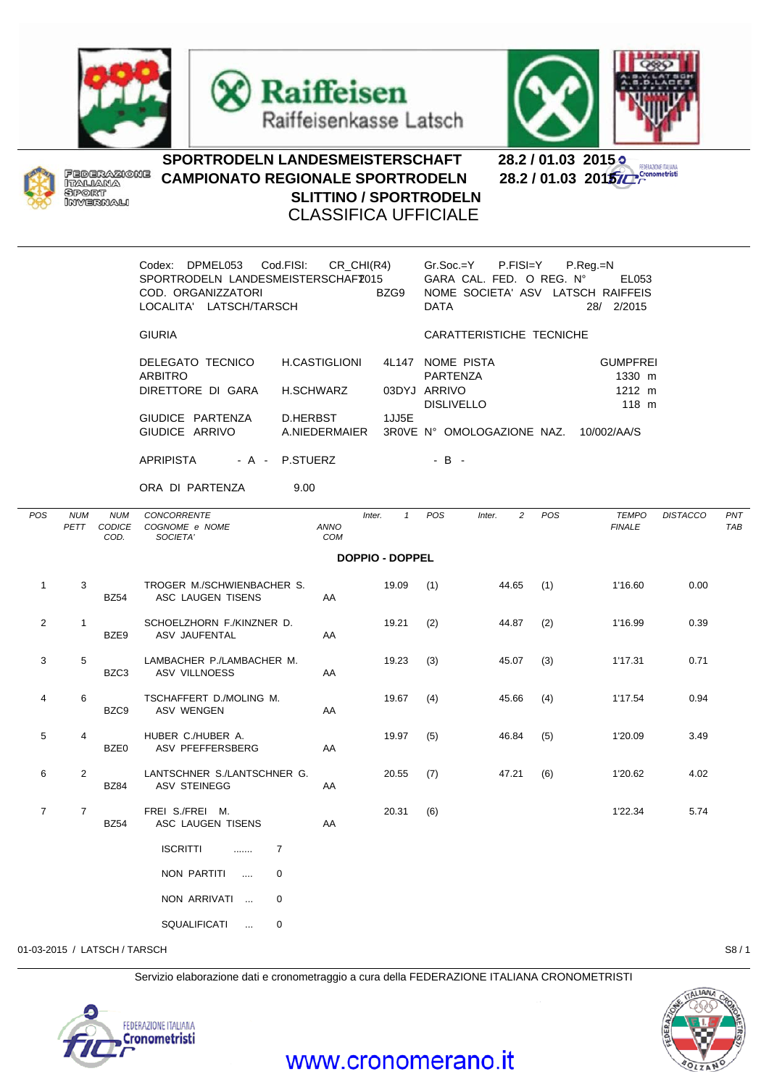





**ERAZIONE ITAL** 



## SPORTRODELN LANDESMEISTERSCHAFT 28.2 / 01.03 2015<br>CAMPIONATO REGIONALE SPORTRODELN 28.2 / 01.03 2015/C **CAMPIONATO REGIONALE SPORTRODELN SLITTINO / SPORTRODELN** CLASSIFICA UFFICIALE

|                              |                    |                              | Codex: DPMEL053 Cod.FISI: CR_CHI(R4)<br>SPORTRODELN LANDESMEISTERSCHAFZ015<br>COD. ORGANIZZATORI<br>BZG9<br>LOCALITA' LATSCH/TARSCH |              |               |                        |                          | Gr.Soc.=Y P.FISI=Y<br>$P_{\cdot}$ Reg $_{\cdot}$ =N<br>GARA CAL. FED. O REG. Nº EL053<br>NOME SOCIETA' ASV LATSCH RAIFFEIS<br><b>DATA</b><br>28/ 2/2015 |     |                                              |                 |            |  |  |  |
|------------------------------|--------------------|------------------------------|-------------------------------------------------------------------------------------------------------------------------------------|--------------|---------------|------------------------|--------------------------|---------------------------------------------------------------------------------------------------------------------------------------------------------|-----|----------------------------------------------|-----------------|------------|--|--|--|
|                              |                    |                              | <b>GIURIA</b>                                                                                                                       |              |               |                        | CARATTERISTICHE TECNICHE |                                                                                                                                                         |     |                                              |                 |            |  |  |  |
|                              |                    |                              | DELEGATO TECNICO<br><b>ARBITRO</b><br>DIRETTORE DI GARA                                                                             | H.SCHWARZ    | H.CASTIGLIONI | 03DYJ ARRIVO           |                          | 4L147 NOME PISTA<br>PARTENZA<br><b>DISLIVELLO</b>                                                                                                       |     | <b>GUMPFREI</b><br>1330 m<br>1212 m<br>118 m |                 |            |  |  |  |
|                              |                    |                              | GIUDICE PARTENZA<br>GIUDICE ARRIVO                                                                                                  |              | D.HERBST      | 1JJ5E                  |                          | A.NIEDERMAIER 3R0VE N° OMOLOGAZIONE NAZ. 10/002/AA/S                                                                                                    |     |                                              |                 |            |  |  |  |
|                              |                    |                              | APRIPISTA - A - P.STUERZ                                                                                                            |              |               |                        | $-B -$                   |                                                                                                                                                         |     |                                              |                 |            |  |  |  |
|                              |                    |                              | ORA DI PARTENZA                                                                                                                     | 9.00         |               |                        |                          |                                                                                                                                                         |     |                                              |                 |            |  |  |  |
| POS                          | <b>NUM</b><br>PETT | <b>NUM</b><br>CODICE<br>COD. | <b>CONCORRENTE</b><br>COGNOME e NOME<br>SOCIETA'                                                                                    |              | ANNO<br>COM   | Inter.<br>$\mathbf{1}$ | <b>POS</b>               | $\overline{c}$<br>Inter.                                                                                                                                | POS | <b>TEMPO</b><br><b>FINALE</b>                | <b>DISTACCO</b> | PNT<br>TAB |  |  |  |
| <b>DOPPIO - DOPPEL</b>       |                    |                              |                                                                                                                                     |              |               |                        |                          |                                                                                                                                                         |     |                                              |                 |            |  |  |  |
| $\mathbf{1}$                 | 3                  | <b>BZ54</b>                  | TROGER M./SCHWIENBACHER S.<br>ASC LAUGEN TISENS                                                                                     |              | AA            | 19.09                  | (1)                      | 44.65                                                                                                                                                   | (1) | 1'16.60                                      | 0.00            |            |  |  |  |
| 2                            | $\mathbf{1}$       | BZE9                         | SCHOELZHORN F./KINZNER D.<br>ASV JAUFENTAL                                                                                          |              | AA            | 19.21                  | (2)                      | 44.87                                                                                                                                                   | (2) | 1'16.99                                      | 0.39            |            |  |  |  |
| 3                            | 5                  | BZC3                         | LAMBACHER P./LAMBACHER M.<br>ASV VILLNOESS                                                                                          |              | AA            | 19.23                  | (3)                      | 45.07                                                                                                                                                   | (3) | 1'17.31                                      | 0.71            |            |  |  |  |
| 4                            | 6                  | BZC9                         | TSCHAFFERT D./MOLING M.<br>ASV WENGEN                                                                                               |              | AA            | 19.67                  | (4)                      | 45.66                                                                                                                                                   | (4) | 1'17.54                                      | 0.94            |            |  |  |  |
| 5                            | 4                  | BZE0                         | HUBER C./HUBER A.<br>ASV PFEFFERSBERG                                                                                               |              | AA            | 19.97                  | (5)                      | 46.84                                                                                                                                                   | (5) | 1'20.09                                      | 3.49            |            |  |  |  |
| 6                            | $\overline{2}$     | <b>BZ84</b>                  | LANTSCHNER S./LANTSCHNER G.<br>ASV STEINEGG                                                                                         |              | AA            | 20.55                  | (7)                      | 47.21                                                                                                                                                   | (6) | 1'20.62                                      | 4.02            |            |  |  |  |
| $\overline{7}$               | $\overline{7}$     | BZ54                         | FREI S./FREI M.<br>ASC LAUGEN TISENS                                                                                                |              | AA            | 20.31                  | (6)                      |                                                                                                                                                         |     | 1'22.34                                      | 5.74            |            |  |  |  |
|                              |                    |                              | <b>ISCRITTI</b><br>$\ldots$ 7                                                                                                       |              |               |                        |                          |                                                                                                                                                         |     |                                              |                 |            |  |  |  |
|                              |                    |                              | NON PARTITI                                                                                                                         | 0            |               |                        |                          |                                                                                                                                                         |     |                                              |                 |            |  |  |  |
|                              |                    |                              | NON ARRIVATI                                                                                                                        | $\mathbf{0}$ |               |                        |                          |                                                                                                                                                         |     |                                              |                 |            |  |  |  |
|                              |                    |                              | SQUALIFICATI                                                                                                                        | 0            |               |                        |                          |                                                                                                                                                         |     |                                              |                 |            |  |  |  |
| 01-03-2015 / LATSCH / TARSCH |                    |                              |                                                                                                                                     |              |               |                        |                          |                                                                                                                                                         |     |                                              |                 | S8/1       |  |  |  |

Servizio elaborazione dati e cronometraggio a cura della FEDERAZIONE ITALIANA CRONOMETRISTI





## www.cronomerano.it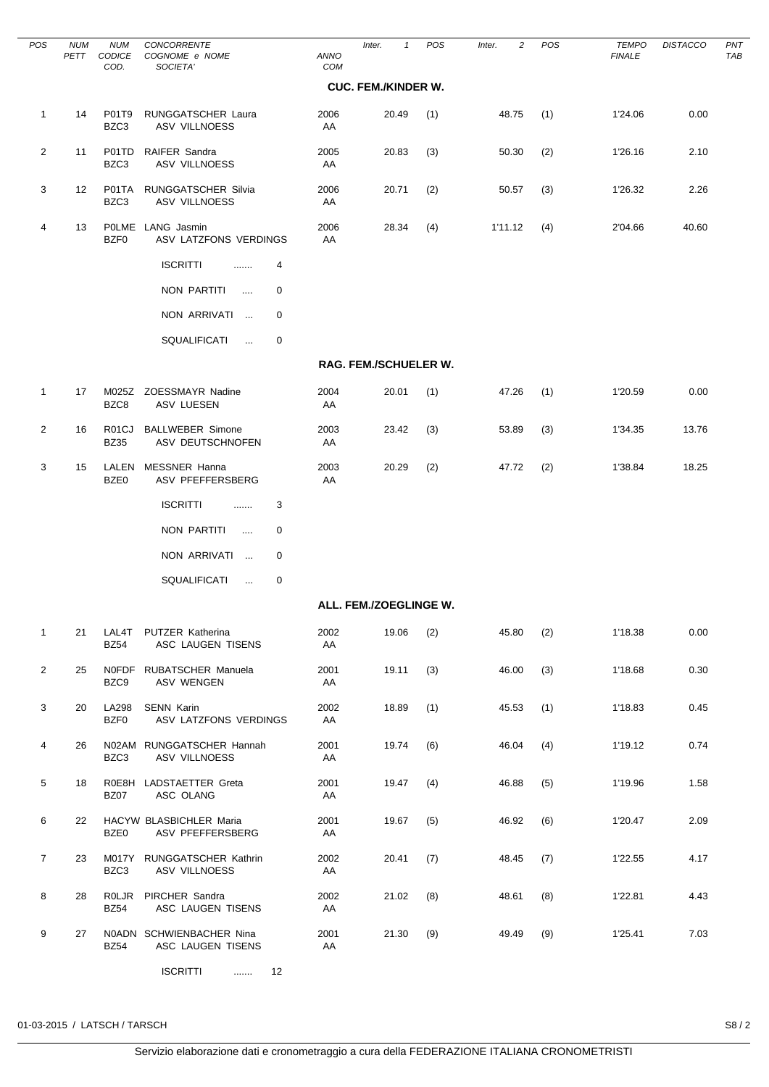| <b>POS</b>     | <b>NUM</b><br>PETT | <b>NUM</b><br><b>CODICE</b><br>COD. | <b>CONCORRENTE</b><br>COGNOME e NOME<br>SOCIETA'   | <b>ANNO</b><br>COM | $\mathbf{1}$<br>Inter.     | POS | 2<br>Inter. | <b>POS</b> | TEMPO<br><b>FINALE</b> | <b>DISTACCO</b> | PN <sub>1</sub><br><b>TAE</b> |
|----------------|--------------------|-------------------------------------|----------------------------------------------------|--------------------|----------------------------|-----|-------------|------------|------------------------|-----------------|-------------------------------|
|                |                    |                                     |                                                    |                    | <b>CUC. FEM./KINDER W.</b> |     |             |            |                        |                 |                               |
| $\mathbf{1}$   | 14                 | P01T9<br>BZC3                       | RUNGGATSCHER Laura<br>ASV VILLNOESS                | 2006<br>AA         | 20.49                      | (1) | 48.75       | (1)        | 1'24.06                | 0.00            |                               |
| $\overline{2}$ | 11                 | P01TD<br>BZC3                       | RAIFER Sandra<br><b>ASV VILLNOESS</b>              | 2005<br>AA         | 20.83                      | (3) | 50.30       | (2)        | 1'26.16                | 2.10            |                               |
| 3              | 12                 | P01TA<br>BZC3                       | <b>RUNGGATSCHER Silvia</b><br><b>ASV VILLNOESS</b> | 2006<br>AA         | 20.71                      | (2) | 50.57       | (3)        | 1'26.32                | 2.26            |                               |
| 4              | 13                 | BZF0                                | POLME LANG Jasmin<br>ASV LATZFONS VERDINGS         | 2006<br>AA         | 28.34                      | (4) | 1'11.12     | (4)        | 2'04.66                | 40.60           |                               |
|                |                    |                                     | <b>ISCRITTI</b><br>4<br>.                          |                    |                            |     |             |            |                        |                 |                               |
|                |                    |                                     | NON PARTITI<br>0<br>$\sim$                         |                    |                            |     |             |            |                        |                 |                               |
|                |                    |                                     | NON ARRIVATI<br>0                                  |                    |                            |     |             |            |                        |                 |                               |
|                |                    |                                     | SQUALIFICATI<br>0<br>$\ldots$                      |                    |                            |     |             |            |                        |                 |                               |
|                |                    |                                     |                                                    |                    | RAG. FEM./SCHUELER W.      |     |             |            |                        |                 |                               |
| $\mathbf{1}$   | 17                 | BZC8                                | M025Z ZOESSMAYR Nadine<br>ASV LUESEN               | 2004<br>AA         | 20.01                      | (1) | 47.26       | (1)        | 1'20.59                | 0.00            |                               |
| 2              | 16                 | R01CJ<br><b>BZ35</b>                | <b>BALLWEBER Simone</b><br>ASV DEUTSCHNOFEN        | 2003<br>AA         | 23.42                      | (3) | 53.89       | (3)        | 1'34.35                | 13.76           |                               |
| 3              | 15                 | BZE0                                | LALEN MESSNER Hanna<br>ASV PFEFFERSBERG            | 2003<br>AA         | 20.29                      | (2) | 47.72       | (2)        | 1'38.84                | 18.25           |                               |
|                |                    |                                     | <b>ISCRITTI</b><br>3<br>.                          |                    |                            |     |             |            |                        |                 |                               |
|                |                    |                                     | NON PARTITI<br>0<br>$\cdots$                       |                    |                            |     |             |            |                        |                 |                               |
|                |                    |                                     | NON ARRIVATI<br>0<br>$\sim$ $\sim$                 |                    |                            |     |             |            |                        |                 |                               |
|                |                    |                                     | <b>SQUALIFICATI</b><br>0<br>$\ldots$               |                    |                            |     |             |            |                        |                 |                               |
|                |                    |                                     |                                                    |                    | ALL. FEM./ZOEGLINGE W.     |     |             |            |                        |                 |                               |
| $\mathbf{1}$   | 21                 | <b>BZ54</b>                         | LAL4T PUTZER Katherina<br>ASC LAUGEN TISENS        | 2002<br>AA         | 19.06                      | (2) | 45.80       | (2)        | 1'18.38                | 0.00            |                               |
| $\overline{2}$ | 25                 | BZC9                                | NOFDF RUBATSCHER Manuela<br>ASV WENGEN             | 2001<br>AA         | 19.11                      | (3) | 46.00       | (3)        | 1'18.68                | 0.30            |                               |
| 3              | 20                 | <b>LA298</b><br>BZF0                | <b>SENN Karin</b><br>ASV LATZFONS VERDINGS         | 2002<br>AA         | 18.89                      | (1) | 45.53       | (1)        | 1'18.83                | 0.45            |                               |
| 4              | 26                 | BZC3                                | N02AM RUNGGATSCHER Hannah<br>ASV VILLNOESS         | 2001<br>AA         | 19.74                      | (6) | 46.04       | (4)        | 1'19.12                | 0.74            |                               |
| 5              | 18                 | BZ07                                | R0E8H LADSTAETTER Greta<br>ASC OLANG               | 2001<br>AA         | 19.47                      | (4) | 46.88       | (5)        | 1'19.96                | 1.58            |                               |
| 6              | 22                 | BZE0                                | HACYW BLASBICHLER Maria<br>ASV PFEFFERSBERG        | 2001<br>AA         | 19.67                      | (5) | 46.92       | (6)        | 1'20.47                | 2.09            |                               |
| $\overline{7}$ | 23                 | BZC3                                | M017Y RUNGGATSCHER Kathrin<br>ASV VILLNOESS        | 2002<br>AA         | 20.41                      | (7) | 48.45       | (7)        | 1'22.55                | 4.17            |                               |
| 8              | 28                 | <b>ROLJR</b><br><b>BZ54</b>         | PIRCHER Sandra<br>ASC LAUGEN TISENS                | 2002<br>AA         | 21.02                      | (8) | 48.61       | (8)        | 1'22.81                | 4.43            |                               |
| 9              | 27                 | <b>BZ54</b>                         | N0ADN SCHWIENBACHER Nina<br>ASC LAUGEN TISENS      | 2001<br>AA         | 21.30                      | (9) | 49.49       | (9)        | 1'25.41                | 7.03            |                               |
|                |                    |                                     | ISCRITTI<br>12                                     |                    |                            |     |             |            |                        |                 |                               |

 $\overline{\phantom{0}}$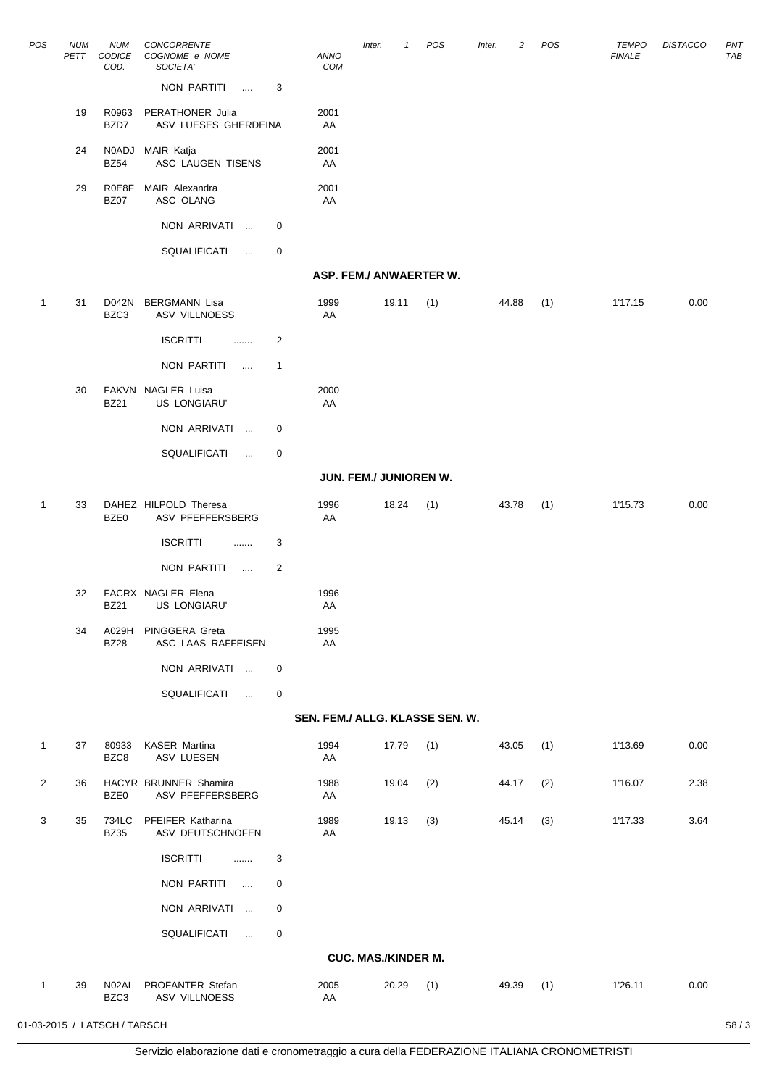| POS            | <b>NUM</b><br>PETT | <b>NUM</b><br><b>CODICE</b><br>COD. | CONCORRENTE<br>COGNOME e NOME<br>SOCIETA' |                | ANNO<br><b>COM</b>              | Inter.                     | POS<br>$\mathbf{1}$ | Inter. | 2     | POS | <b>TEMPO</b><br><b>FINALE</b> | <b>DISTACCO</b> | PN <sub>1</sub><br><b>TAE</b> |
|----------------|--------------------|-------------------------------------|-------------------------------------------|----------------|---------------------------------|----------------------------|---------------------|--------|-------|-----|-------------------------------|-----------------|-------------------------------|
|                |                    |                                     | <b>NON PARTITI</b><br>$\ldots$ .          | 3              |                                 |                            |                     |        |       |     |                               |                 |                               |
|                | 19                 | R0963<br>BZD7                       | PERATHONER Julia<br>ASV LUESES GHERDEINA  |                | 2001<br>AA                      |                            |                     |        |       |     |                               |                 |                               |
|                | 24                 | <b>BZ54</b>                         | N0ADJ MAIR Katja<br>ASC LAUGEN TISENS     |                | 2001<br>AA                      |                            |                     |        |       |     |                               |                 |                               |
|                | 29                 | R0E8F<br><b>BZ07</b>                | MAIR Alexandra<br>ASC OLANG               |                | 2001<br>AA                      |                            |                     |        |       |     |                               |                 |                               |
|                |                    |                                     | NON ARRIVATI<br>$\ddots$                  | 0              |                                 |                            |                     |        |       |     |                               |                 |                               |
|                |                    |                                     | SQUALIFICATI<br>$\ldots$                  | 0              |                                 |                            |                     |        |       |     |                               |                 |                               |
|                |                    |                                     |                                           |                |                                 | ASP. FEM./ ANWAERTER W.    |                     |        |       |     |                               |                 |                               |
| $\mathbf{1}$   | 31                 | D042N<br>BZC3                       | <b>BERGMANN Lisa</b><br>ASV VILLNOESS     |                | 1999<br>AA                      | 19.11                      | (1)                 |        | 44.88 | (1) | 1'17.15                       | 0.00            |                               |
|                |                    |                                     | <b>ISCRITTI</b><br>.                      | $\overline{2}$ |                                 |                            |                     |        |       |     |                               |                 |                               |
|                |                    |                                     | <b>NON PARTITI</b><br>$\cdots$            | $\mathbf{1}$   |                                 |                            |                     |        |       |     |                               |                 |                               |
|                | 30                 | <b>BZ21</b>                         | FAKVN NAGLER Luisa<br>US LONGIARU'        |                | 2000<br>AA                      |                            |                     |        |       |     |                               |                 |                               |
|                |                    |                                     | NON ARRIVATI<br>$\ddotsc$                 | 0              |                                 |                            |                     |        |       |     |                               |                 |                               |
|                |                    |                                     | SQUALIFICATI<br>$\ddotsc$                 | 0              |                                 |                            |                     |        |       |     |                               |                 |                               |
|                |                    |                                     |                                           |                |                                 | JUN. FEM./ JUNIOREN W.     |                     |        |       |     |                               |                 |                               |
| $\mathbf{1}$   | 33                 | BZE0                                | DAHEZ HILPOLD Theresa<br>ASV PFEFFERSBERG |                | 1996<br>AA                      | 18.24                      | (1)                 |        | 43.78 | (1) | 1'15.73                       | 0.00            |                               |
|                |                    |                                     | <b>ISCRITTI</b><br>.                      | 3              |                                 |                            |                     |        |       |     |                               |                 |                               |
|                |                    |                                     | <b>NON PARTITI</b><br>$\sim$              | 2              |                                 |                            |                     |        |       |     |                               |                 |                               |
|                | 32                 | <b>BZ21</b>                         | FACRX NAGLER Elena<br>US LONGIARU'        |                | 1996<br>AA                      |                            |                     |        |       |     |                               |                 |                               |
|                | 34                 | A029H<br><b>BZ28</b>                | PINGGERA Greta<br>ASC LAAS RAFFEISEN      |                | 1995<br>AA                      |                            |                     |        |       |     |                               |                 |                               |
|                |                    |                                     | NON ARRIVATI                              | 0              |                                 |                            |                     |        |       |     |                               |                 |                               |
|                |                    |                                     | SQUALIFICATI<br>$\ddotsc$                 | 0              |                                 |                            |                     |        |       |     |                               |                 |                               |
|                |                    |                                     |                                           |                | SEN. FEM./ ALLG. KLASSE SEN. W. |                            |                     |        |       |     |                               |                 |                               |
| $\mathbf{1}$   | 37                 | 80933<br>BZC8                       | <b>KASER Martina</b><br><b>ASV LUESEN</b> |                | 1994<br>AA                      | 17.79                      | (1)                 |        | 43.05 | (1) | 1'13.69                       | 0.00            |                               |
| $\overline{2}$ | 36                 | BZE0                                | HACYR BRUNNER Shamira<br>ASV PFEFFERSBERG |                | 1988<br>AA                      | 19.04                      | (2)                 |        | 44.17 | (2) | 1'16.07                       | 2.38            |                               |
| 3              | 35                 | 734LC<br><b>BZ35</b>                | PFEIFER Katharina<br>ASV DEUTSCHNOFEN     |                | 1989<br>AA                      | 19.13                      | (3)                 |        | 45.14 | (3) | 1'17.33                       | 3.64            |                               |
|                |                    |                                     | <b>ISCRITTI</b><br>.                      | 3              |                                 |                            |                     |        |       |     |                               |                 |                               |
|                |                    |                                     | NON PARTITI<br>$\mathbf{r}$               | 0              |                                 |                            |                     |        |       |     |                               |                 |                               |
|                |                    |                                     | NON ARRIVATI<br>$\sim 10$                 | 0              |                                 |                            |                     |        |       |     |                               |                 |                               |
|                |                    |                                     | SQUALIFICATI<br>$\ddotsc$                 | 0              |                                 |                            |                     |        |       |     |                               |                 |                               |
|                |                    |                                     |                                           |                |                                 | <b>CUC. MAS./KINDER M.</b> |                     |        |       |     |                               |                 |                               |
| $\mathbf{1}$   | 39                 | BZC3                                | N02AL PROFANTER Stefan<br>ASV VILLNOESS   |                | 2005<br>AA                      | 20.29                      | (1)                 |        | 49.39 | (1) | 1'26.11                       | 0.00            |                               |

 $\frac{1}{2}$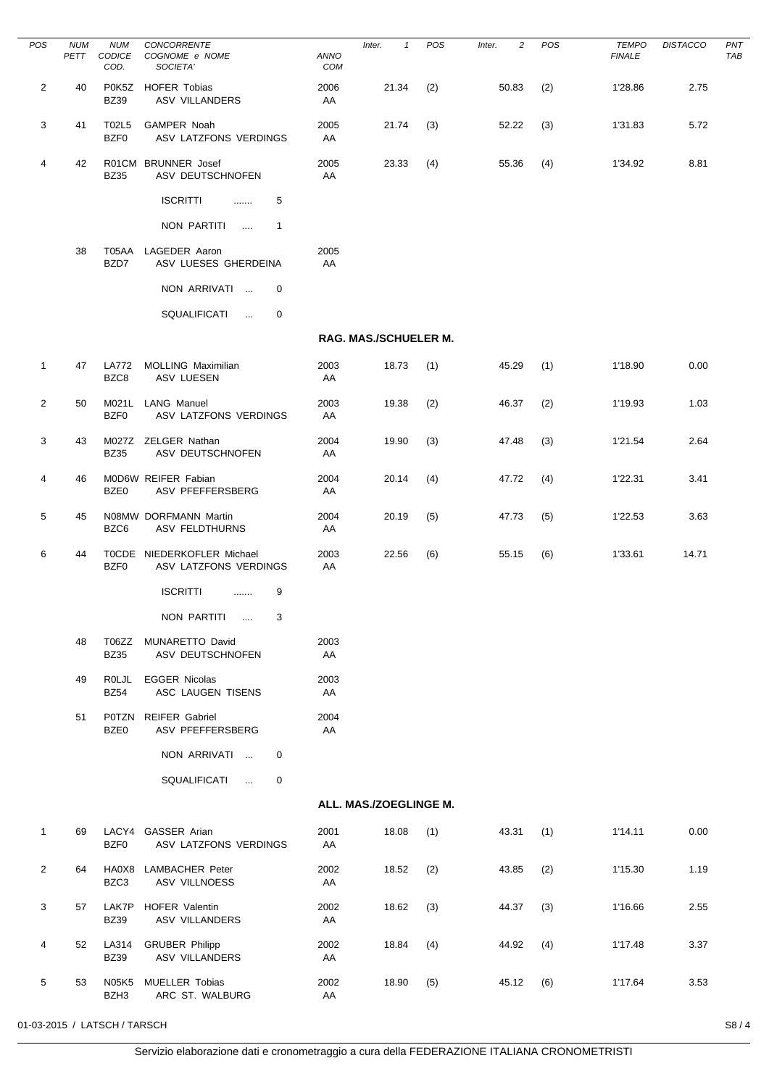| POS            | <b>NUM</b><br>PETT | <b>NUM</b><br>CODICE<br>COD. | CONCORRENTE<br>COGNOME e NOME<br>SOCIETA'           | ANNO<br>COM | Inter.<br>$\mathbf{1}$       | POS | 2<br>Inter. | POS | <b>TEMPO</b><br><b>FINALE</b> | <b>DISTACCO</b> | PN <sub>1</sub><br>TAE |
|----------------|--------------------|------------------------------|-----------------------------------------------------|-------------|------------------------------|-----|-------------|-----|-------------------------------|-----------------|------------------------|
| 2              | 40                 | <b>BZ39</b>                  | P0K5Z HOFER Tobias<br>ASV VILLANDERS                | 2006<br>AA  | 21.34                        | (2) | 50.83       | (2) | 1'28.86                       | 2.75            |                        |
| 3              | 41                 | T02L5<br>BZF0                | GAMPER Noah<br>ASV LATZFONS VERDINGS                | 2005<br>AA  | 21.74                        | (3) | 52.22       | (3) | 1'31.83                       | 5.72            |                        |
| 4              | 42                 | <b>BZ35</b>                  | R01CM BRUNNER Josef<br>ASV DEUTSCHNOFEN             | 2005<br>AA  | 23.33                        | (4) | 55.36       | (4) | 1'34.92                       | 8.81            |                        |
|                |                    |                              | <b>ISCRITTI</b><br>5<br>$\ldots$                    |             |                              |     |             |     |                               |                 |                        |
|                |                    |                              | NON PARTITI<br>$\overline{1}$<br>$\cdots$           |             |                              |     |             |     |                               |                 |                        |
|                | 38                 | T05AA<br>BZD7                | LAGEDER Aaron<br>ASV LUESES GHERDEINA               | 2005<br>AA  |                              |     |             |     |                               |                 |                        |
|                |                    |                              | NON ARRIVATI<br>0                                   |             |                              |     |             |     |                               |                 |                        |
|                |                    |                              | SQUALIFICATI<br>0<br>$\ddotsc$                      |             |                              |     |             |     |                               |                 |                        |
|                |                    |                              |                                                     |             | <b>RAG. MAS./SCHUELER M.</b> |     |             |     |                               |                 |                        |
| $\mathbf{1}$   | 47                 | <b>LA772</b><br>BZC8         | <b>MOLLING Maximilian</b><br><b>ASV LUESEN</b>      | 2003<br>AA  | 18.73                        | (1) | 45.29       | (1) | 1'18.90                       | 0.00            |                        |
| $\overline{2}$ | 50                 | M021L<br>BZF0                | <b>LANG Manuel</b><br>ASV LATZFONS VERDINGS         | 2003<br>AA  | 19.38                        | (2) | 46.37       | (2) | 1'19.93                       | 1.03            |                        |
| 3              | 43                 | <b>BZ35</b>                  | M027Z ZELGER Nathan<br>ASV DEUTSCHNOFEN             | 2004<br>AA  | 19.90                        | (3) | 47.48       | (3) | 1'21.54                       | 2.64            |                        |
| 4              | 46                 | BZE0                         | MOD6W REIFER Fabian<br>ASV PFEFFERSBERG             | 2004<br>AA  | 20.14                        | (4) | 47.72       | (4) | 1'22.31                       | 3.41            |                        |
| 5              | 45                 | BZC6                         | N08MW DORFMANN Martin<br>ASV FELDTHURNS             | 2004<br>AA  | 20.19                        | (5) | 47.73       | (5) | 1'22.53                       | 3.63            |                        |
| 6              | 44                 | BZF0                         | TOCDE NIEDERKOFLER Michael<br>ASV LATZFONS VERDINGS | 2003<br>AA  | 22.56                        | (6) | 55.15       | (6) | 1'33.61                       | 14.71           |                        |
|                |                    |                              | <b>ISCRITTI</b><br>9<br>.                           |             |                              |     |             |     |                               |                 |                        |
|                |                    |                              | NON PARTITI<br>3                                    |             |                              |     |             |     |                               |                 |                        |
|                | 48                 | T06ZZ<br><b>BZ35</b>         | MUNARETTO David<br>ASV DEUTSCHNOFEN                 | 2003<br>AA  |                              |     |             |     |                               |                 |                        |
|                | 49                 | <b>ROLJL</b><br><b>BZ54</b>  | <b>EGGER Nicolas</b><br>ASC LAUGEN TISENS           | 2003<br>AA  |                              |     |             |     |                               |                 |                        |
|                | 51                 | P0TZN<br>BZE0                | <b>REIFER Gabriel</b><br>ASV PFEFFERSBERG           | 2004<br>AA  |                              |     |             |     |                               |                 |                        |
|                |                    |                              | NON ARRIVATI<br>0                                   |             |                              |     |             |     |                               |                 |                        |
|                |                    |                              | SQUALIFICATI<br>0<br>$\ddotsc$                      |             |                              |     |             |     |                               |                 |                        |
|                |                    |                              |                                                     |             | ALL. MAS./ZOEGLINGE M.       |     |             |     |                               |                 |                        |
| $\mathbf{1}$   | 69                 | BZF0                         | LACY4 GASSER Arian<br>ASV LATZFONS VERDINGS         | 2001<br>AA  | 18.08                        | (1) | 43.31       | (1) | 1'14.11                       | 0.00            |                        |
| $\overline{2}$ | 64                 | BZC3                         | HA0X8 LAMBACHER Peter<br>ASV VILLNOESS              | 2002<br>AA  | 18.52                        | (2) | 43.85       | (2) | 1'15.30                       | 1.19            |                        |
| 3              | 57                 | LAK7P<br><b>BZ39</b>         | HOFER Valentin<br><b>ASV VILLANDERS</b>             | 2002<br>AA  | 18.62                        | (3) | 44.37       | (3) | 1'16.66                       | 2.55            |                        |
| 4              | 52                 | LA314<br><b>BZ39</b>         | <b>GRUBER Philipp</b><br><b>ASV VILLANDERS</b>      | 2002<br>AA  | 18.84                        | (4) | 44.92       | (4) | 1'17.48                       | 3.37            |                        |
| 5              | 53                 | <b>N05K5</b><br>BZH3         | <b>MUELLER Tobias</b><br>ARC ST. WALBURG            | 2002<br>AA  | 18.90                        | (5) | 45.12       | (6) | 1'17.64                       | 3.53            |                        |

 $\frac{1}{2}$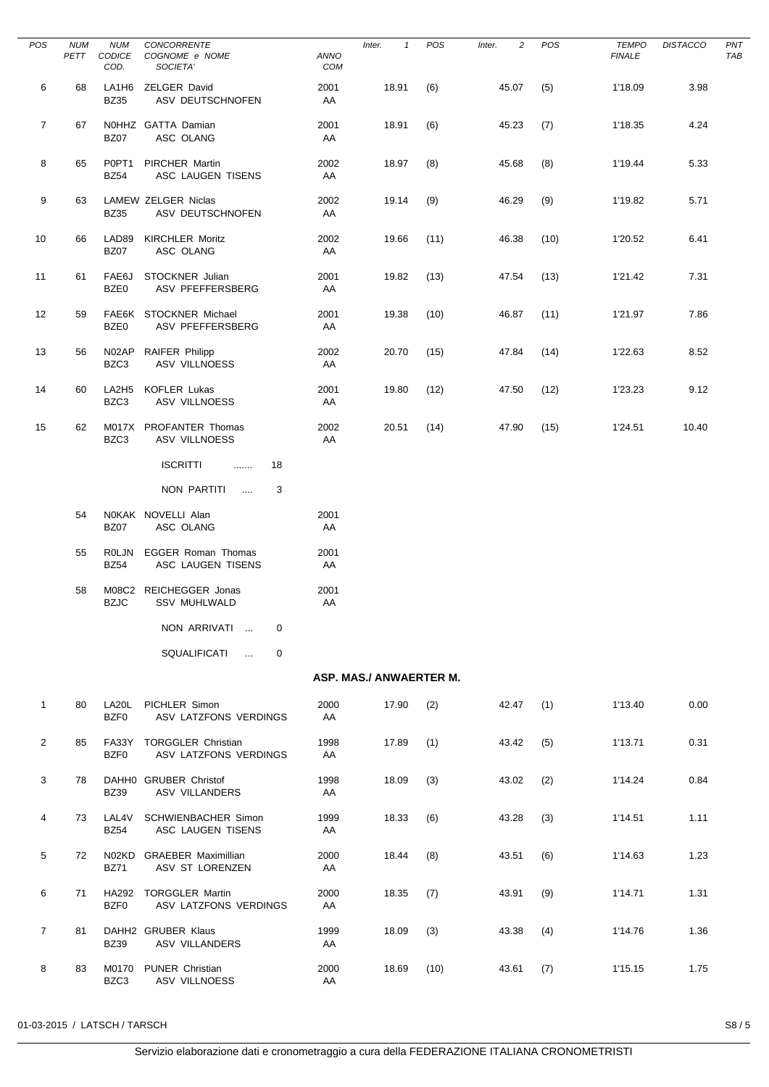| <b>POS</b>     | <b>NUM</b><br>PETT | <b>NUM</b><br>CODICE<br>COD.     | CONCORRENTE<br>COGNOME e NOME<br>SOCIETA'         | ANNO<br>COM | Inter.<br>$\mathbf{1}$  | POS  | $\overline{c}$<br>Inter. | POS  | <b>TEMPO</b><br><b>FINALE</b> | <b>DISTACCO</b> | PN <sub>1</sub><br><b>TAE</b> |
|----------------|--------------------|----------------------------------|---------------------------------------------------|-------------|-------------------------|------|--------------------------|------|-------------------------------|-----------------|-------------------------------|
| 6              | 68                 | <b>BZ35</b>                      | LA1H6 ZELGER David<br>ASV DEUTSCHNOFEN            | 2001<br>AA  | 18.91                   | (6)  | 45.07                    | (5)  | 1'18.09                       | 3.98            |                               |
| $\overline{7}$ | 67                 | <b>BZ07</b>                      | N0HHZ GATTA Damian<br>ASC OLANG                   | 2001<br>AA  | 18.91                   | (6)  | 45.23                    | (7)  | 1'18.35                       | 4.24            |                               |
| 8              | 65                 | P0PT <sub>1</sub><br><b>BZ54</b> | <b>PIRCHER Martin</b><br>ASC LAUGEN TISENS        | 2002<br>AA  | 18.97                   | (8)  | 45.68                    | (8)  | 1'19.44                       | 5.33            |                               |
| 9              | 63                 | <b>BZ35</b>                      | LAMEW ZELGER Niclas<br>ASV DEUTSCHNOFEN           | 2002<br>AA  | 19.14                   | (9)  | 46.29                    | (9)  | 1'19.82                       | 5.71            |                               |
| 10             | 66                 | LAD89<br>BZ07                    | <b>KIRCHLER Moritz</b><br>ASC OLANG               | 2002<br>AA  | 19.66                   | (11) | 46.38                    | (10) | 1'20.52                       | 6.41            |                               |
| 11             | 61                 | FAE6J<br>BZE0                    | STOCKNER Julian<br>ASV PFEFFERSBERG               | 2001<br>AA  | 19.82                   | (13) | 47.54                    | (13) | 1'21.42                       | 7.31            |                               |
| 12             | 59                 | BZE0                             | FAE6K STOCKNER Michael<br>ASV PFEFFERSBERG        | 2001<br>AA  | 19.38                   | (10) | 46.87                    | (11) | 1'21.97                       | 7.86            |                               |
| 13             | 56                 | N02AP<br>BZC3                    | <b>RAIFER Philipp</b><br><b>ASV VILLNOESS</b>     | 2002<br>AA  | 20.70                   | (15) | 47.84                    | (14) | 1'22.63                       | 8.52            |                               |
| 14             | 60                 | LA2H <sub>5</sub><br>BZC3        | <b>KOFLER Lukas</b><br>ASV VILLNOESS              | 2001<br>AA  | 19.80                   | (12) | 47.50                    | (12) | 1'23.23                       | 9.12            |                               |
| 15             | 62                 | BZC3                             | M017X PROFANTER Thomas<br>ASV VILLNOESS           | 2002<br>AA  | 20.51                   | (14) | 47.90                    | (15) | 1'24.51                       | 10.40           |                               |
|                |                    |                                  | <b>ISCRITTI</b><br>18<br>.                        |             |                         |      |                          |      |                               |                 |                               |
|                |                    |                                  | NON PARTITI<br>3<br>$\sim$                        |             |                         |      |                          |      |                               |                 |                               |
|                | 54                 | <b>BZ07</b>                      | N0KAK NOVELLI Alan<br>ASC OLANG                   | 2001<br>AA  |                         |      |                          |      |                               |                 |                               |
|                | 55                 | ROLJN<br><b>BZ54</b>             | <b>EGGER Roman Thomas</b><br>ASC LAUGEN TISENS    | 2001<br>AA  |                         |      |                          |      |                               |                 |                               |
|                | 58                 | <b>BZJC</b>                      | M08C2 REICHEGGER Jonas<br><b>SSV MUHLWALD</b>     | 2001<br>AA  |                         |      |                          |      |                               |                 |                               |
|                |                    |                                  | NON ARRIVATI<br>0                                 |             |                         |      |                          |      |                               |                 |                               |
|                |                    |                                  | SQUALIFICATI<br>0<br>$\sim$                       |             |                         |      |                          |      |                               |                 |                               |
|                |                    |                                  |                                                   |             | ASP. MAS./ ANWAERTER M. |      |                          |      |                               |                 |                               |
| $\mathbf{1}$   | 80                 | LA20L<br>BZF0                    | PICHLER Simon<br>ASV LATZFONS VERDINGS            | 2000<br>AA  | 17.90                   | (2)  | 42.47                    | (1)  | 1'13.40                       | 0.00            |                               |
| 2              | 85                 | BZF0                             | FA33Y TORGGLER Christian<br>ASV LATZFONS VERDINGS | 1998<br>AA  | 17.89                   | (1)  | 43.42                    | (5)  | 1'13.71                       | 0.31            |                               |
| 3              | 78                 | <b>BZ39</b>                      | DAHH0 GRUBER Christof<br><b>ASV VILLANDERS</b>    | 1998<br>AA  | 18.09                   | (3)  | 43.02                    | (2)  | 1'14.24                       | 0.84            |                               |
| 4              | 73                 | LAL4V<br><b>BZ54</b>             | <b>SCHWIENBACHER Simon</b><br>ASC LAUGEN TISENS   | 1999<br>AA  | 18.33                   | (6)  | 43.28                    | (3)  | 1'14.51                       | 1.11            |                               |
| 5              | 72                 | <b>BZ71</b>                      | N02KD GRAEBER Maximillian<br>ASV ST LORENZEN      | 2000<br>AA  | 18.44                   | (8)  | 43.51                    | (6)  | 1'14.63                       | 1.23            |                               |
| 6              | 71                 | BZF0                             | HA292 TORGGLER Martin<br>ASV LATZFONS VERDINGS    | 2000<br>AA  | 18.35                   | (7)  | 43.91                    | (9)  | 1'14.71                       | 1.31            |                               |
| $\overline{7}$ | 81                 | <b>BZ39</b>                      | DAHH2 GRUBER Klaus<br><b>ASV VILLANDERS</b>       | 1999<br>AA  | 18.09                   | (3)  | 43.38                    | (4)  | 1'14.76                       | 1.36            |                               |
| 8              | 83                 | BZC3                             | M0170 PUNER Christian<br>ASV VILLNOESS            | 2000<br>AA  | 18.69                   | (10) | 43.61                    | (7)  | 1'15.15                       | 1.75            |                               |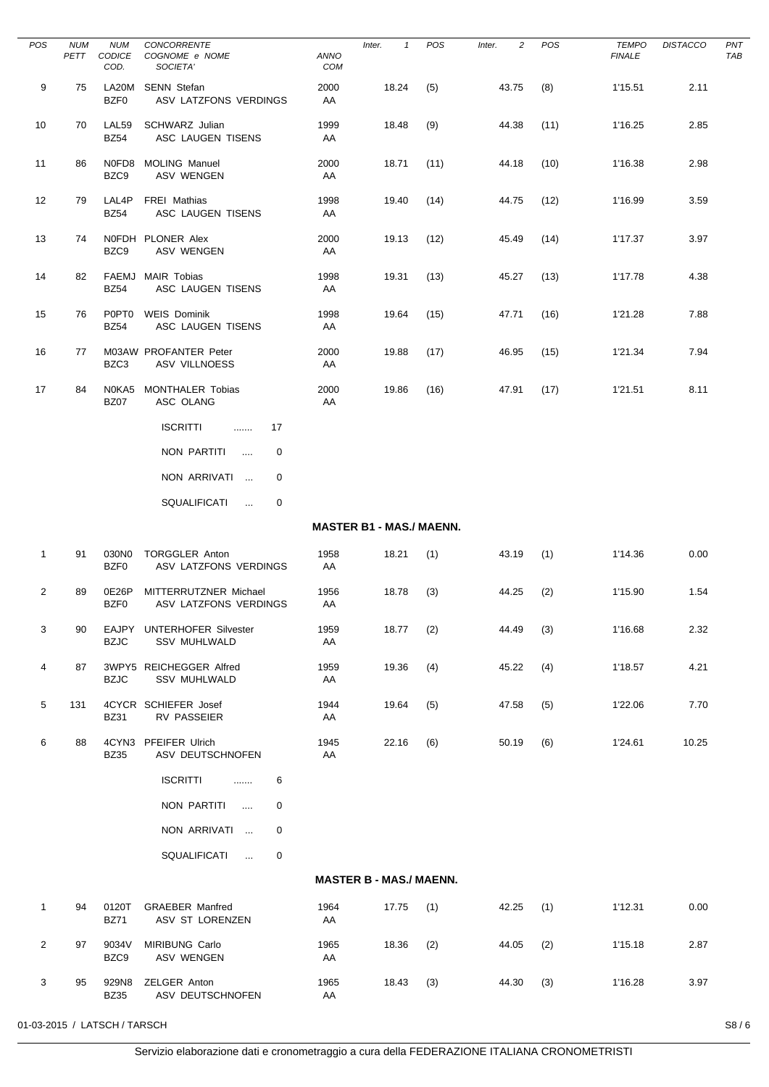| <b>POS</b>        | <b>NUM</b><br>PETT | <b>NUM</b><br>CODICE<br>COD. | CONCORRENTE<br>COGNOME e NOME<br>SOCIETA'         | ANNO<br>COM | $\mathbf{1}$<br>Inter.          | POS  | 2<br>Inter. | POS  | <b>TEMPO</b><br><b>FINALE</b> | <b>DISTACCO</b> | PN <sub>1</sub><br><b>TAE</b> |
|-------------------|--------------------|------------------------------|---------------------------------------------------|-------------|---------------------------------|------|-------------|------|-------------------------------|-----------------|-------------------------------|
| 9                 | 75                 | BZF0                         | LA20M SENN Stefan<br>ASV LATZFONS VERDINGS        | 2000<br>AA  | 18.24                           | (5)  | 43.75       | (8)  | 1'15.51                       | 2.11            |                               |
| 10                | 70                 | LAL59<br><b>BZ54</b>         | SCHWARZ Julian<br>ASC LAUGEN TISENS               | 1999<br>AA  | 18.48                           | (9)  | 44.38       | (11) | 1'16.25                       | 2.85            |                               |
| 11                | 86                 | BZC9                         | N0FD8 MOLING Manuel<br>ASV WENGEN                 | 2000<br>AA  | 18.71                           | (11) | 44.18       | (10) | 1'16.38                       | 2.98            |                               |
| $12 \overline{ }$ | 79                 | LAL4P<br><b>BZ54</b>         | FREI Mathias<br>ASC LAUGEN TISENS                 | 1998<br>AA  | 19.40                           | (14) | 44.75       | (12) | 1'16.99                       | 3.59            |                               |
| 13                | 74                 | BZC9                         | NOFDH PLONER Alex<br>ASV WENGEN                   | 2000<br>AA  | 19.13                           | (12) | 45.49       | (14) | 1'17.37                       | 3.97            |                               |
| 14                | 82                 | <b>BZ54</b>                  | FAEMJ MAIR Tobias<br>ASC LAUGEN TISENS            | 1998<br>AA  | 19.31                           | (13) | 45.27       | (13) | 1'17.78                       | 4.38            |                               |
| 15                | 76                 | <b>POPTO</b><br><b>BZ54</b>  | <b>WEIS Dominik</b><br>ASC LAUGEN TISENS          | 1998<br>AA  | 19.64                           | (15) | 47.71       | (16) | 1'21.28                       | 7.88            |                               |
| 16                | 77                 | BZC3                         | M03AW PROFANTER Peter<br><b>ASV VILLNOESS</b>     | 2000<br>AA  | 19.88                           | (17) | 46.95       | (15) | 1'21.34                       | 7.94            |                               |
| 17                | 84                 | N0KA5<br><b>BZ07</b>         | <b>MONTHALER Tobias</b><br>ASC OLANG              | 2000<br>AA  | 19.86                           | (16) | 47.91       | (17) | 1'21.51                       | 8.11            |                               |
|                   |                    |                              | <b>ISCRITTI</b><br>17<br>.                        |             |                                 |      |             |      |                               |                 |                               |
|                   |                    |                              | NON PARTITI<br>0<br>$\mathbf{1}$                  |             |                                 |      |             |      |                               |                 |                               |
|                   |                    |                              | NON ARRIVATI<br>0                                 |             |                                 |      |             |      |                               |                 |                               |
|                   |                    |                              | SQUALIFICATI<br>0<br>$\ldots$                     |             |                                 |      |             |      |                               |                 |                               |
|                   |                    |                              |                                                   |             | <b>MASTER B1 - MAS./ MAENN.</b> |      |             |      |                               |                 |                               |
| $\mathbf{1}$      | 91                 | 030N0<br>BZF0                | <b>TORGGLER Anton</b><br>ASV LATZFONS VERDINGS    | 1958<br>AA  | 18.21                           | (1)  | 43.19       | (1)  | 1'14.36                       | 0.00            |                               |
| 2                 | 89                 | 0E26P<br>BZF0                | MITTERRUTZNER Michael<br>ASV LATZFONS VERDINGS    | 1956<br>AA  | 18.78                           | (3)  | 44.25       | (2)  | 1'15.90                       | 1.54            |                               |
| 3                 | 90                 | <b>BZJC</b>                  | EAJPY UNTERHOFER Silvester<br><b>SSV MUHLWALD</b> | 1959<br>AA  | 18.77                           | (2)  | 44.49       | (3)  | 1'16.68                       | 2.32            |                               |
| 4                 | 87                 | <b>BZJC</b>                  | 3WPY5 REICHEGGER Alfred<br>SSV MUHLWALD           | 1959<br>AA  | 19.36                           | (4)  | 45.22       | (4)  | 1'18.57                       | 4.21            |                               |
| 5                 | 131                | <b>BZ31</b>                  | 4CYCR SCHIEFER Josef<br>RV PASSEIER               | 1944<br>AA  | 19.64                           | (5)  | 47.58       | (5)  | 1'22.06                       | 7.70            |                               |
| 6                 | 88                 | <b>BZ35</b>                  | 4CYN3 PFEIFER Ulrich<br>ASV DEUTSCHNOFEN          | 1945<br>AA  | 22.16                           | (6)  | 50.19       | (6)  | 1'24.61                       | 10.25           |                               |
|                   |                    |                              | <b>ISCRITTI</b><br>6<br><b></b>                   |             |                                 |      |             |      |                               |                 |                               |
|                   |                    |                              | NON PARTITI<br>0<br>$\cdots$                      |             |                                 |      |             |      |                               |                 |                               |
|                   |                    |                              | NON ARRIVATI<br>0                                 |             |                                 |      |             |      |                               |                 |                               |
|                   |                    |                              | SQUALIFICATI<br>0<br>$\sim 100$                   |             |                                 |      |             |      |                               |                 |                               |
|                   |                    |                              |                                                   |             | <b>MASTER B - MAS./ MAENN.</b>  |      |             |      |                               |                 |                               |
| $\mathbf{1}$      | 94                 | 0120T<br><b>BZ71</b>         | <b>GRAEBER Manfred</b><br>ASV ST LORENZEN         | 1964<br>AA  | 17.75                           | (1)  | 42.25       | (1)  | 1'12.31                       | 0.00            |                               |
| $\overline{2}$    | 97                 | 9034V<br>BZC9                | MIRIBUNG Carlo<br>ASV WENGEN                      | 1965<br>AA  | 18.36                           | (2)  | 44.05       | (2)  | 1'15.18                       | 2.87            |                               |
| 3                 | 95                 | 929N8<br><b>BZ35</b>         | ZELGER Anton<br>ASV DEUTSCHNOFEN                  | 1965<br>AA  | 18.43                           | (3)  | 44.30       | (3)  | 1'16.28                       | 3.97            |                               |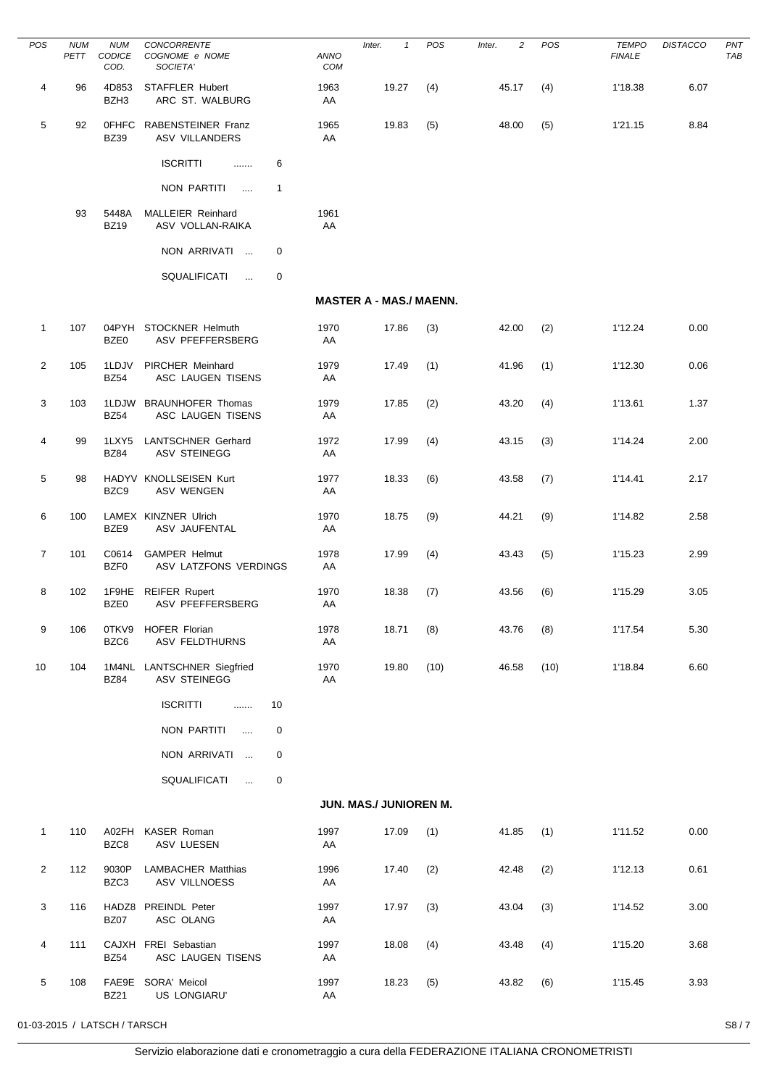| POS            | <b>NUM</b><br>PETT | <b>NUM</b><br>CODICE<br>COD. | CONCORRENTE<br>COGNOME e NOME<br>SOCIETA'         | ANNO<br>COM | Inter.<br>$\mathbf{1}$         | POS  | $\overline{c}$<br>Inter. | POS  | <b>TEMPO</b><br><b>FINALE</b> | <b>DISTACCO</b> | PN <sub>1</sub><br><b>TAE</b> |
|----------------|--------------------|------------------------------|---------------------------------------------------|-------------|--------------------------------|------|--------------------------|------|-------------------------------|-----------------|-------------------------------|
| 4              | 96                 | 4D853<br>BZH3                | STAFFLER Hubert<br>ARC ST. WALBURG                | 1963<br>AA  | 19.27                          | (4)  | 45.17                    | (4)  | 1'18.38                       | 6.07            |                               |
| 5              | 92                 | 0FHFC<br><b>BZ39</b>         | RABENSTEINER Franz<br><b>ASV VILLANDERS</b>       | 1965<br>AA  | 19.83                          | (5)  | 48.00                    | (5)  | 1'21.15                       | 8.84            |                               |
|                |                    |                              | <b>ISCRITTI</b><br>6<br>.                         |             |                                |      |                          |      |                               |                 |                               |
|                |                    |                              | NON PARTITI<br>$\mathbf{1}$<br>$\cdots$           |             |                                |      |                          |      |                               |                 |                               |
|                | 93                 | 5448A<br><b>BZ19</b>         | MALLEIER Reinhard<br>ASV VOLLAN-RAIKA             | 1961<br>AA  |                                |      |                          |      |                               |                 |                               |
|                |                    |                              | NON ARRIVATI<br>0                                 |             |                                |      |                          |      |                               |                 |                               |
|                |                    |                              | SQUALIFICATI<br>0<br>$\ddotsc$                    |             |                                |      |                          |      |                               |                 |                               |
|                |                    |                              |                                                   |             | <b>MASTER A - MAS./ MAENN.</b> |      |                          |      |                               |                 |                               |
| 1              | 107                | BZE0                         | 04PYH STOCKNER Helmuth<br><b>ASV PFEFFERSBERG</b> | 1970<br>AA  | 17.86                          | (3)  | 42.00                    | (2)  | 1'12.24                       | 0.00            |                               |
| $\overline{2}$ | 105                | 1LDJV<br><b>BZ54</b>         | PIRCHER Meinhard<br>ASC LAUGEN TISENS             | 1979<br>AA  | 17.49                          | (1)  | 41.96                    | (1)  | 1'12.30                       | 0.06            |                               |
| 3              | 103                | <b>BZ54</b>                  | 1LDJW BRAUNHOFER Thomas<br>ASC LAUGEN TISENS      | 1979<br>AA  | 17.85                          | (2)  | 43.20                    | (4)  | 1'13.61                       | 1.37            |                               |
| 4              | 99                 | 1LXY5<br><b>BZ84</b>         | LANTSCHNER Gerhard<br><b>ASV STEINEGG</b>         | 1972<br>AA  | 17.99                          | (4)  | 43.15                    | (3)  | 1'14.24                       | 2.00            |                               |
| 5              | 98                 | BZC9                         | HADYV KNOLLSEISEN Kurt<br><b>ASV WENGEN</b>       | 1977<br>AA  | 18.33                          | (6)  | 43.58                    | (7)  | 1'14.41                       | 2.17            |                               |
| 6              | 100                | BZE9                         | LAMEX KINZNER Ulrich<br>ASV JAUFENTAL             | 1970<br>AA  | 18.75                          | (9)  | 44.21                    | (9)  | 1'14.82                       | 2.58            |                               |
| $\overline{7}$ | 101                | C0614<br>BZF0                | <b>GAMPER Helmut</b><br>ASV LATZFONS VERDINGS     | 1978<br>AA  | 17.99                          | (4)  | 43.43                    | (5)  | 1'15.23                       | 2.99            |                               |
| 8              | 102                | 1F9HE<br>BZE0                | <b>REIFER Rupert</b><br>ASV PFEFFERSBERG          | 1970<br>AA  | 18.38                          | (7)  | 43.56                    | (6)  | 1'15.29                       | 3.05            |                               |
| 9              | 106                | 0TKV9<br>BZC6                | HOFER Florian<br><b>ASV FELDTHURNS</b>            | 1978<br>AA  | 18.71                          | (8)  | 43.76                    | (8)  | 1'17.54                       | 5.30            |                               |
| 10             | 104                | <b>BZ84</b>                  | 1M4NL LANTSCHNER Siegfried<br><b>ASV STEINEGG</b> | 1970<br>AA  | 19.80                          | (10) | 46.58                    | (10) | 1'18.84                       | 6.60            |                               |
|                |                    |                              | <b>ISCRITTI</b><br>10<br>.                        |             |                                |      |                          |      |                               |                 |                               |
|                |                    |                              | NON PARTITI<br>0<br>$\cdots$                      |             |                                |      |                          |      |                               |                 |                               |
|                |                    |                              | NON ARRIVATI<br>0                                 |             |                                |      |                          |      |                               |                 |                               |
|                |                    |                              | SQUALIFICATI<br>0<br>$\ldots$                     |             |                                |      |                          |      |                               |                 |                               |
|                |                    |                              |                                                   |             | JUN. MAS./ JUNIOREN M.         |      |                          |      |                               |                 |                               |
| 1              | 110                | BZC8                         | A02FH KASER Roman<br>ASV LUESEN                   | 1997<br>AA  | 17.09                          | (1)  | 41.85                    | (1)  | 1'11.52                       | 0.00            |                               |
| $\overline{2}$ | 112                | 9030P<br>BZC3                | <b>LAMBACHER Matthias</b><br>ASV VILLNOESS        | 1996<br>AA  | 17.40                          | (2)  | 42.48                    | (2)  | 1'12.13                       | 0.61            |                               |
| 3              | 116                | <b>BZ07</b>                  | HADZ8 PREINDL Peter<br>ASC OLANG                  | 1997<br>AA  | 17.97                          | (3)  | 43.04                    | (3)  | 1'14.52                       | 3.00            |                               |
| 4              | 111                | <b>BZ54</b>                  | CAJXH FREI Sebastian<br>ASC LAUGEN TISENS         | 1997<br>AA  | 18.08                          | (4)  | 43.48                    | (4)  | 1'15.20                       | 3.68            |                               |
| 5              | 108                | <b>BZ21</b>                  | FAE9E SORA' Meicol<br>US LONGIARU'                | 1997<br>AA  | 18.23                          | (5)  | 43.82                    | (6)  | 1'15.45                       | 3.93            |                               |

 $\overline{\phantom{0}}$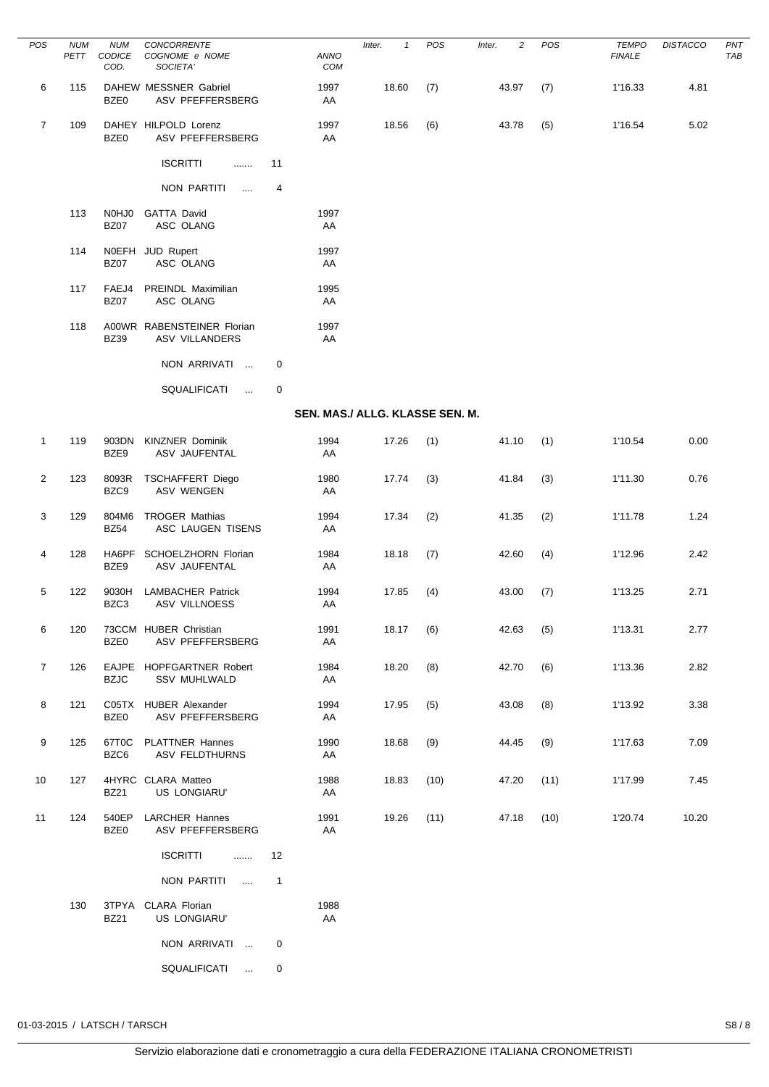| POS            | <b>NUM</b><br>PETT | <b>NUM</b><br>CODICE<br>COD. | CONCORRENTE<br>COGNOME e NOME<br>SOCIETA'           |              | <b>ANNO</b><br>COM              | Inter.<br>$\mathbf{1}$ | POS  | 2<br>Inter. | POS  | <b>TEMPO</b><br><b>FINALE</b> | <b>DISTACCO</b> | PN <sub>7</sub><br>TAB |
|----------------|--------------------|------------------------------|-----------------------------------------------------|--------------|---------------------------------|------------------------|------|-------------|------|-------------------------------|-----------------|------------------------|
| 6              | 115                | BZE0                         | DAHEW MESSNER Gabriel<br>ASV PFEFFERSBERG           |              | 1997<br>AA                      | 18.60                  | (7)  | 43.97       | (7)  | 1'16.33                       | 4.81            |                        |
| $\overline{7}$ | 109                | BZE0                         | DAHEY HILPOLD Lorenz<br>ASV PFEFFERSBERG            |              | 1997<br>AA                      | 18.56                  | (6)  | 43.78       | (5)  | 1'16.54                       | 5.02            |                        |
|                |                    |                              | <b>ISCRITTI</b><br>.                                | 11           |                                 |                        |      |             |      |                               |                 |                        |
|                |                    |                              | NON PARTITI<br>$\cdots$                             | 4            |                                 |                        |      |             |      |                               |                 |                        |
|                | 113                | N0HJ0<br><b>BZ07</b>         | <b>GATTA David</b><br>ASC OLANG                     |              | 1997<br>AA                      |                        |      |             |      |                               |                 |                        |
|                | 114                | <b>BZ07</b>                  | NOEFH JUD Rupert<br>ASC OLANG                       |              | 1997<br>AA                      |                        |      |             |      |                               |                 |                        |
|                | 117                | FAEJ4<br><b>BZ07</b>         | PREINDL Maximilian<br>ASC OLANG                     |              | 1995<br>AA                      |                        |      |             |      |                               |                 |                        |
|                | 118                | <b>BZ39</b>                  | A00WR RABENSTEINER Florian<br><b>ASV VILLANDERS</b> |              | 1997<br>AA                      |                        |      |             |      |                               |                 |                        |
|                |                    |                              | NON ARRIVATI                                        | 0            |                                 |                        |      |             |      |                               |                 |                        |
|                |                    |                              | <b>SQUALIFICATI</b><br>$\sim$                       | 0            |                                 |                        |      |             |      |                               |                 |                        |
|                |                    |                              |                                                     |              | SEN. MAS./ ALLG. KLASSE SEN. M. |                        |      |             |      |                               |                 |                        |
| $\mathbf{1}$   | 119                | 903DN<br>BZE9                | <b>KINZNER Dominik</b><br>ASV JAUFENTAL             |              | 1994<br>AA                      | 17.26                  | (1)  | 41.10       | (1)  | 1'10.54                       | 0.00            |                        |
| 2              | 123                | 8093R<br>BZC9                | <b>TSCHAFFERT Diego</b><br><b>ASV WENGEN</b>        |              | 1980<br>AA                      | 17.74                  | (3)  | 41.84       | (3)  | 1'11.30                       | 0.76            |                        |
| 3              | 129                | 804M6<br><b>BZ54</b>         | <b>TROGER Mathias</b><br>ASC LAUGEN TISENS          |              | 1994<br>AA                      | 17.34                  | (2)  | 41.35       | (2)  | 1'11.78                       | 1.24            |                        |
| 4              | 128                | BZE9                         | HA6PF SCHOELZHORN Florian<br>ASV JAUFENTAL          |              | 1984<br>AA                      | 18.18                  | (7)  | 42.60       | (4)  | 1'12.96                       | 2.42            |                        |
| 5              | 122                | 9030H<br>BZC3                | <b>LAMBACHER Patrick</b><br><b>ASV VILLNOESS</b>    |              | 1994<br>AA                      | 17.85                  | (4)  | 43.00       | (7)  | 1'13.25                       | 2.71            |                        |
| 6              | 120                | BZE0                         | 73CCM HUBER Christian<br>ASV PFEFFERSBERG           |              | 1991<br>AA                      | 18.17                  | (6)  | 42.63       | (5)  | 1'13.31                       | 2.77            |                        |
| $\overline{7}$ | 126                | <b>BZJC</b>                  | EAJPE HOPFGARTNER Robert<br><b>SSV MUHLWALD</b>     |              | 1984<br>AA                      | 18.20                  | (8)  | 42.70       | (6)  | 1'13.36                       | 2.82            |                        |
| 8              | 121                | BZE0                         | C05TX HUBER Alexander<br>ASV PFEFFERSBERG           |              | 1994<br>AA                      | 17.95                  | (5)  | 43.08       | (8)  | 1'13.92                       | 3.38            |                        |
| 9              | 125                | 67T0C<br>BZC6                | <b>PLATTNER Hannes</b><br>ASV FELDTHURNS            |              | 1990<br>AA                      | 18.68                  | (9)  | 44.45       | (9)  | 1'17.63                       | 7.09            |                        |
| 10             | 127                | <b>BZ21</b>                  | 4HYRC CLARA Matteo<br>US LONGIARU'                  |              | 1988<br>AA                      | 18.83                  | (10) | 47.20       | (11) | 1'17.99                       | 7.45            |                        |
| 11             | 124                | 540EP<br>BZE0                | <b>LARCHER Hannes</b><br>ASV PFEFFERSBERG           |              | 1991<br>AA                      | 19.26                  | (11) | 47.18       | (10) | 1'20.74                       | 10.20           |                        |
|                |                    |                              | <b>ISCRITTI</b><br>.                                | 12           |                                 |                        |      |             |      |                               |                 |                        |
|                |                    |                              | NON PARTITI<br>$\cdots$                             | $\mathbf{1}$ |                                 |                        |      |             |      |                               |                 |                        |
|                | 130                | <b>BZ21</b>                  | 3TPYA CLARA Florian<br>US LONGIARU'                 |              | 1988<br>AA                      |                        |      |             |      |                               |                 |                        |
|                |                    |                              | NON ARRIVATI                                        | 0            |                                 |                        |      |             |      |                               |                 |                        |
|                |                    |                              | SQUALIFICATI<br>$\sim$                              | 0            |                                 |                        |      |             |      |                               |                 |                        |